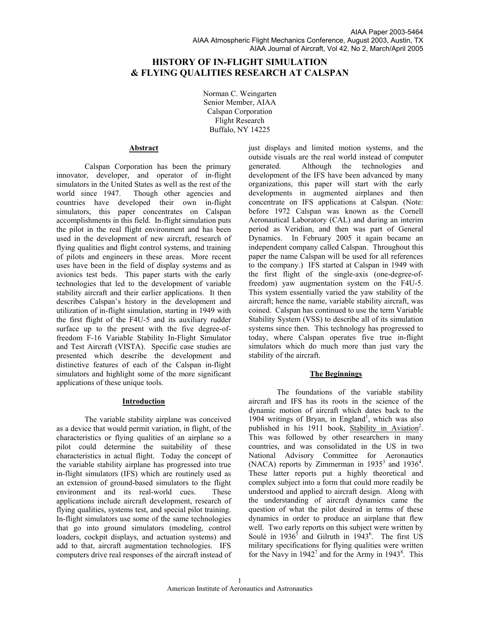# **HISTORY OF IN-FLIGHT SIMULATION & FLYING QUALITIES RESEARCH AT CALSPAN**

Norman C. Weingarten Senior Member, AIAA Calspan Corporation Flight Research Buffalo, NY 14225

#### **Abstract**

Calspan Corporation has been the primary innovator, developer, and operator of in-flight simulators in the United States as well as the rest of the world since 1947. Though other agencies and countries have developed their own in-flight simulators, this paper concentrates on Calspan accomplishments in this field. In-flight simulation puts the pilot in the real flight environment and has been used in the development of new aircraft, research of flying qualities and flight control systems, and training of pilots and engineers in these areas. More recent uses have been in the field of display systems and as avionics test beds. This paper starts with the early technologies that led to the development of variable stability aircraft and their earlier applications. It then describes Calspan's history in the development and utilization of in-flight simulation, starting in 1949 with the first flight of the F4U-5 and its auxiliary rudder surface up to the present with the five degree-offreedom F-16 Variable Stability In-Flight Simulator and Test Aircraft (VISTA). Specific case studies are presented which describe the development and distinctive features of each of the Calspan in-flight simulators and highlight some of the more significant applications of these unique tools.

#### **Introduction**

The variable stability airplane was conceived as a device that would permit variation, in flight, of the characteristics or flying qualities of an airplane so a pilot could determine the suitability of these characteristics in actual flight. Today the concept of the variable stability airplane has progressed into true in-flight simulators (IFS) which are routinely used as an extension of ground-based simulators to the flight environment and its real-world cues. These applications include aircraft development, research of flying qualities, systems test, and special pilot training. In-flight simulators use some of the same technologies that go into ground simulators (modeling, control loaders, cockpit displays, and actuation systems) and add to that, aircraft augmentation technologies. IFS computers drive real responses of the aircraft instead of

just displays and limited motion systems, and the outside visuals are the real world instead of computer generated. Although the technologies and development of the IFS have been advanced by many organizations, this paper will start with the early developments in augmented airplanes and then concentrate on IFS applications at Calspan. (Note: before 1972 Calspan was known as the Cornell Aeronautical Laboratory (CAL) and during an interim period as Veridian, and then was part of General Dynamics. In February 2005 it again became an independent company called Calspan. Throughout this paper the name Calspan will be used for all references to the company.) IFS started at Calspan in 1949 with the first flight of the single-axis (one-degree-offreedom) yaw augmentation system on the F4U-5. This system essentially varied the yaw stability of the aircraft; hence the name, variable stability aircraft, was coined. Calspan has continued to use the term Variable Stability System (VSS) to describe all of its simulation systems since then. This technology has progressed to today, where Calspan operates five true in-flight simulators which do much more than just vary the stability of the aircraft.

## **The Beginnings**

The foundations of the variable stability aircraft and IFS has its roots in the science of the dynamic motion of aircraft which dates back to the 1904 writings of Bryan, in England<sup>1</sup>, which was also published in his 1911 book, Stability in Aviation<sup>2</sup>. This was followed by other researchers in many countries, and was consolidated in the US in two National Advisory Committee for Aeronautics (NACA) reports by Zimmerman in  $1935^3$  and  $1936^4$ . These latter reports put a highly theoretical and complex subject into a form that could more readily be understood and applied to aircraft design. Along with the understanding of aircraft dynamics came the question of what the pilot desired in terms of these dynamics in order to produce an airplane that flew well. Two early reports on this subject were written by Soulé in  $1936<sup>5</sup>$  and Gilruth in  $1943<sup>6</sup>$ . The first US military specifications for flying qualities were written for the Navy in  $1942<sup>7</sup>$  and for the Army in  $1943<sup>8</sup>$ . This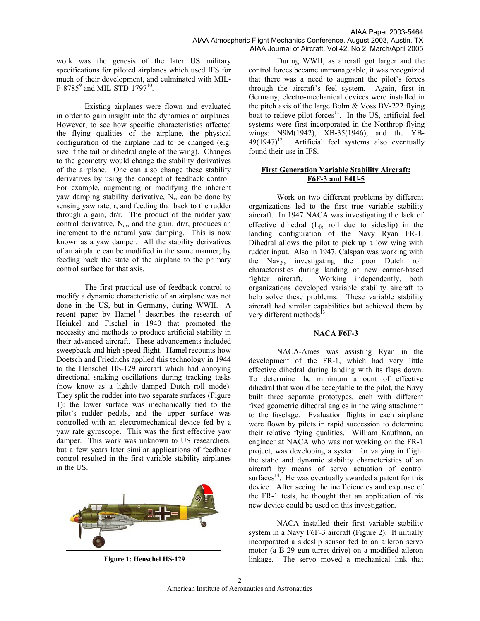work was the genesis of the later US military specifications for piloted airplanes which used IFS for much of their development, and culminated with MIL- $F-8785^9$  and MIL-STD-1797<sup>10</sup>.

Existing airplanes were flown and evaluated in order to gain insight into the dynamics of airplanes. However, to see how specific characteristics affected the flying qualities of the airplane, the physical configuration of the airplane had to be changed (e.g. size if the tail or dihedral angle of the wing). Changes to the geometry would change the stability derivatives of the airplane. One can also change these stability derivatives by using the concept of feedback control. For example, augmenting or modifying the inherent yaw damping stability derivative,  $N_r$ , can be done by sensing yaw rate, r, and feeding that back to the rudder through a gain, dr/r. The product of the rudder yaw control derivative,  $N_{dr}$ , and the gain, dr/r, produces an increment to the natural yaw damping. This is now known as a yaw damper. All the stability derivatives of an airplane can be modified in the same manner; by feeding back the state of the airplane to the primary control surface for that axis.

The first practical use of feedback control to modify a dynamic characteristic of an airplane was not done in the US, but in Germany, during WWII. A recent paper by Hamel<sup>11</sup> describes the research of Heinkel and Fischel in 1940 that promoted the necessity and methods to produce artificial stability in their advanced aircraft. These advancements included sweepback and high speed flight. Hamel recounts how Doetsch and Friedrichs applied this technology in 1944 to the Henschel HS-129 aircraft which had annoying directional snaking oscillations during tracking tasks (now know as a lightly damped Dutch roll mode). They split the rudder into two separate surfaces (Figure 1): the lower surface was mechanically tied to the pilot's rudder pedals, and the upper surface was controlled with an electromechanical device fed by a yaw rate gyroscope. This was the first effective yaw damper. This work was unknown to US researchers, but a few years later similar applications of feedback control resulted in the first variable stability airplanes in the US.



**Figure 1: Henschel HS-129** 

During WWII, as aircraft got larger and the control forces became unmanageable, it was recognized that there was a need to augment the pilot's forces through the aircraft's feel system. Again, first in Germany, electro-mechanical devices were installed in the pitch axis of the large Bolm & Voss BV-222 flying boat to relieve pilot forces $11$ . In the US, artificial feel systems were first incorporated in the Northrop flying wings: N9M(1942), XB-35(1946), and the YB- $49(1947)^{12}$ . Artificial feel systems also eventually found their use in IFS.

## **First Generation Variable Stability Aircraft: F6F-3 and F4U-5**

Work on two different problems by different organizations led to the first true variable stability aircraft. In 1947 NACA was investigating the lack of effective dihedral  $(L_{\beta},$  roll due to sideslip) in the landing configuration of the Navy Ryan FR-1. Dihedral allows the pilot to pick up a low wing with rudder input. Also in 1947, Calspan was working with the Navy, investigating the poor Dutch roll characteristics during landing of new carrier-based fighter aircraft. Working independently, both organizations developed variable stability aircraft to help solve these problems. These variable stability aircraft had similar capabilities but achieved them by very different methods $^{13}$ .

## **NACA F6F-3**

NACA-Ames was assisting Ryan in the development of the FR-1, which had very little effective dihedral during landing with its flaps down. To determine the minimum amount of effective dihedral that would be acceptable to the pilot, the Navy built three separate prototypes, each with different fixed geometric dihedral angles in the wing attachment to the fuselage. Evaluation flights in each airplane were flown by pilots in rapid succession to determine their relative flying qualities. William Kaufman, an engineer at NACA who was not working on the FR-1 project, was developing a system for varying in flight the static and dynamic stability characteristics of an aircraft by means of servo actuation of control surfaces $14.$  He was eventually awarded a patent for this device. After seeing the inefficiencies and expense of the FR-1 tests, he thought that an application of his new device could be used on this investigation.

NACA installed their first variable stability system in a Navy F6F-3 aircraft (Figure 2). It initially incorporated a sideslip sensor fed to an aileron servo motor (a B-29 gun-turret drive) on a modified aileron linkage. The servo moved a mechanical link that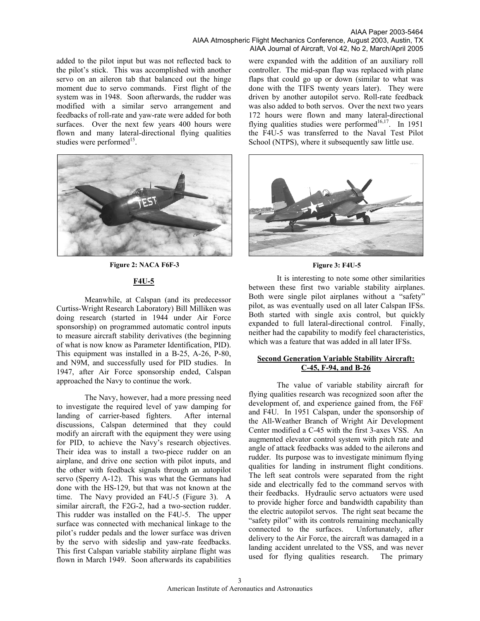AIAA Paper 2003-5464 AIAA Atmospheric Flight Mechanics Conference, August 2003, Austin, TX AIAA Journal of Aircraft, Vol 42, No 2, March/April 2005

added to the pilot input but was not reflected back to the pilot's stick. This was accomplished with another servo on an aileron tab that balanced out the hinge moment due to servo commands. First flight of the system was in 1948. Soon afterwards, the rudder was modified with a similar servo arrangement and feedbacks of roll-rate and yaw-rate were added for both surfaces. Over the next few years 400 hours were flown and many lateral-directional flying qualities studies were performed<sup>15</sup>.



**Figure 2: NACA F6F-3** 

## **F4U-5**

Meanwhile, at Calspan (and its predecessor Curtiss-Wright Research Laboratory) Bill Milliken was doing research (started in 1944 under Air Force sponsorship) on programmed automatic control inputs to measure aircraft stability derivatives (the beginning of what is now know as Parameter Identification, PID). This equipment was installed in a B-25, A-26, P-80, and N9M, and successfully used for PID studies. In 1947, after Air Force sponsorship ended, Calspan approached the Navy to continue the work.

The Navy, however, had a more pressing need to investigate the required level of yaw damping for landing of carrier-based fighters. After internal discussions, Calspan determined that they could modify an aircraft with the equipment they were using for PID, to achieve the Navy's research objectives. Their idea was to install a two-piece rudder on an airplane, and drive one section with pilot inputs, and the other with feedback signals through an autopilot servo (Sperry A-12). This was what the Germans had done with the HS-129, but that was not known at the time. The Navy provided an F4U-5 (Figure 3). A similar aircraft, the F2G-2, had a two-section rudder. This rudder was installed on the F4U-5. The upper surface was connected with mechanical linkage to the pilot's rudder pedals and the lower surface was driven by the servo with sideslip and yaw-rate feedbacks. This first Calspan variable stability airplane flight was flown in March 1949. Soon afterwards its capabilities

were expanded with the addition of an auxiliary roll controller. The mid-span flap was replaced with plane flaps that could go up or down (similar to what was done with the TIFS twenty years later). They were driven by another autopilot servo. Roll-rate feedback was also added to both servos. Over the next two years 172 hours were flown and many lateral-directional flying qualities studies were performed<sup>16,17</sup>. In 1951 the F4U-5 was transferred to the Naval Test Pilot School (NTPS), where it subsequently saw little use.



#### **Figure 3: F4U-5**

It is interesting to note some other similarities between these first two variable stability airplanes. Both were single pilot airplanes without a "safety" pilot, as was eventually used on all later Calspan IFSs. Both started with single axis control, but quickly expanded to full lateral-directional control. Finally, neither had the capability to modify feel characteristics, which was a feature that was added in all later IFSs.

## **Second Generation Variable Stability Aircraft: C-45, F-94, and B-26**

The value of variable stability aircraft for flying qualities research was recognized soon after the development of, and experience gained from, the F6F and F4U. In 1951 Calspan, under the sponsorship of the All-Weather Branch of Wright Air Development Center modified a C-45 with the first 3-axes VSS. An augmented elevator control system with pitch rate and angle of attack feedbacks was added to the ailerons and rudder. Its purpose was to investigate minimum flying qualities for landing in instrument flight conditions. The left seat controls were separated from the right side and electrically fed to the command servos with their feedbacks. Hydraulic servo actuators were used to provide higher force and bandwidth capability than the electric autopilot servos. The right seat became the "safety pilot" with its controls remaining mechanically connected to the surfaces. Unfortunately, after delivery to the Air Force, the aircraft was damaged in a landing accident unrelated to the VSS, and was never used for flying qualities research. The primary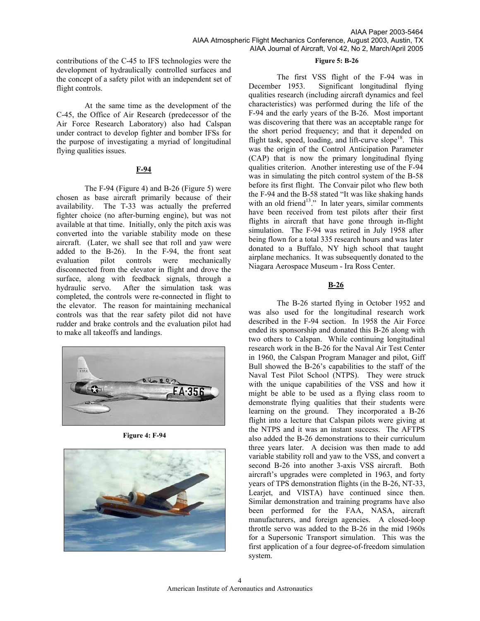**Figure 5: B-26** 

contributions of the C-45 to IFS technologies were the development of hydraulically controlled surfaces and the concept of a safety pilot with an independent set of flight controls.

At the same time as the development of the C-45, the Office of Air Research (predecessor of the Air Force Research Laboratory) also had Calspan under contract to develop fighter and bomber IFSs for the purpose of investigating a myriad of longitudinal flying qualities issues.

## **F-94**

The F-94 (Figure 4) and B-26 (Figure 5) were chosen as base aircraft primarily because of their availability. The T-33 was actually the preferred fighter choice (no after-burning engine), but was not available at that time. Initially, only the pitch axis was converted into the variable stability mode on these aircraft. (Later, we shall see that roll and yaw were added to the B-26). In the F-94, the front seat evaluation pilot controls were mechanically disconnected from the elevator in flight and drove the surface, along with feedback signals, through a hydraulic servo. After the simulation task was completed, the controls were re-connected in flight to the elevator. The reason for maintaining mechanical controls was that the rear safety pilot did not have rudder and brake controls and the evaluation pilot had to make all takeoffs and landings.



**Figure 4: F-94** 



The first VSS flight of the F-94 was in December 1953. Significant longitudinal flying qualities research (including aircraft dynamics and feel characteristics) was performed during the life of the F-94 and the early years of the B-26. Most important was discovering that there was an acceptable range for the short period frequency; and that it depended on flight task, speed, loading, and lift-curve slope<sup>18</sup>. This was the origin of the Control Anticipation Parameter (CAP) that is now the primary longitudinal flying qualities criterion. Another interesting use of the F-94 was in simulating the pitch control system of the B-58 before its first flight. The Convair pilot who flew both the F-94 and the B-58 stated "It was like shaking hands with an old friend<sup>13</sup>." In later years, similar comments have been received from test pilots after their first flights in aircraft that have gone through in-flight simulation. The F-94 was retired in July 1958 after being flown for a total 335 research hours and was later donated to a Buffalo, NY high school that taught airplane mechanics. It was subsequently donated to the Niagara Aerospace Museum - Ira Ross Center.

## **B-26**

The B-26 started flying in October 1952 and was also used for the longitudinal research work described in the F-94 section. In 1958 the Air Force ended its sponsorship and donated this B-26 along with two others to Calspan. While continuing longitudinal research work in the B-26 for the Naval Air Test Center in 1960, the Calspan Program Manager and pilot, Giff Bull showed the B-26's capabilities to the staff of the Naval Test Pilot School (NTPS). They were struck with the unique capabilities of the VSS and how it might be able to be used as a flying class room to demonstrate flying qualities that their students were learning on the ground. They incorporated a B-26 flight into a lecture that Calspan pilots were giving at the NTPS and it was an instant success. The AFTPS also added the B-26 demonstrations to their curriculum three years later. A decision was then made to add variable stability roll and yaw to the VSS, and convert a second B-26 into another 3-axis VSS aircraft. Both aircraft's upgrades were completed in 1963, and forty years of TPS demonstration flights (in the B-26, NT-33, Learjet, and VISTA) have continued since then. Similar demonstration and training programs have also been performed for the FAA, NASA, aircraft manufacturers, and foreign agencies. A closed-loop throttle servo was added to the B-26 in the mid 1960s for a Supersonic Transport simulation. This was the first application of a four degree-of-freedom simulation system.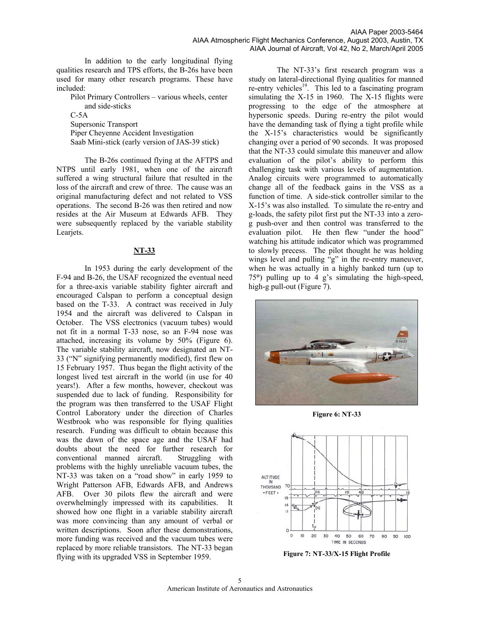In addition to the early longitudinal flying qualities research and TPS efforts, the B-26s have been used for many other research programs. These have included:

Pilot Primary Controllers – various wheels, center and side-sticks

 $C-5A$ 

Supersonic Transport Piper Cheyenne Accident Investigation Saab Mini-stick (early version of JAS-39 stick)

The B-26s continued flying at the AFTPS and NTPS until early 1981, when one of the aircraft suffered a wing structural failure that resulted in the loss of the aircraft and crew of three. The cause was an original manufacturing defect and not related to VSS operations. The second B-26 was then retired and now resides at the Air Museum at Edwards AFB. They were subsequently replaced by the variable stability Learjets.

# **NT-33**

In 1953 during the early development of the F-94 and B-26, the USAF recognized the eventual need for a three-axis variable stability fighter aircraft and encouraged Calspan to perform a conceptual design based on the T-33. A contract was received in July 1954 and the aircraft was delivered to Calspan in October. The VSS electronics (vacuum tubes) would not fit in a normal T-33 nose, so an F-94 nose was attached, increasing its volume by 50% (Figure 6). The variable stability aircraft, now designated an NT-33 ("N" signifying permanently modified), first flew on 15 February 1957. Thus began the flight activity of the longest lived test aircraft in the world (in use for 40 years!). After a few months, however, checkout was suspended due to lack of funding. Responsibility for the program was then transferred to the USAF Flight Control Laboratory under the direction of Charles Westbrook who was responsible for flying qualities research. Funding was difficult to obtain because this was the dawn of the space age and the USAF had doubts about the need for further research for conventional manned aircraft. Struggling with problems with the highly unreliable vacuum tubes, the NT-33 was taken on a "road show" in early 1959 to Wright Patterson AFB, Edwards AFB, and Andrews AFB. Over 30 pilots flew the aircraft and were overwhelmingly impressed with its capabilities. It showed how one flight in a variable stability aircraft was more convincing than any amount of verbal or written descriptions. Soon after these demonstrations, more funding was received and the vacuum tubes were replaced by more reliable transistors. The NT-33 began flying with its upgraded VSS in September 1959.

The NT-33's first research program was a study on lateral-directional flying qualities for manned re-entry vehicles<sup>19</sup>. This led to a fascinating program simulating the X-15 in 1960. The X-15 flights were progressing to the edge of the atmosphere at hypersonic speeds. During re-entry the pilot would have the demanding task of flying a tight profile while the X-15's characteristics would be significantly changing over a period of 90 seconds. It was proposed that the NT-33 could simulate this maneuver and allow evaluation of the pilot's ability to perform this challenging task with various levels of augmentation. Analog circuits were programmed to automatically change all of the feedback gains in the VSS as a function of time. A side-stick controller similar to the X-15's was also installed. To simulate the re-entry and g-loads, the safety pilot first put the NT-33 into a zerog push-over and then control was transferred to the evaluation pilot. He then flew "under the hood" watching his attitude indicator which was programmed to slowly precess. The pilot thought he was holding wings level and pulling "g" in the re-entry maneuver, when he was actually in a highly banked turn (up to 75**°**) pulling up to 4 g's simulating the high-speed, high-g pull-out (Figure 7).



**Figure 6: NT-33** 



**Figure 7: NT-33/X-15 Flight Profile**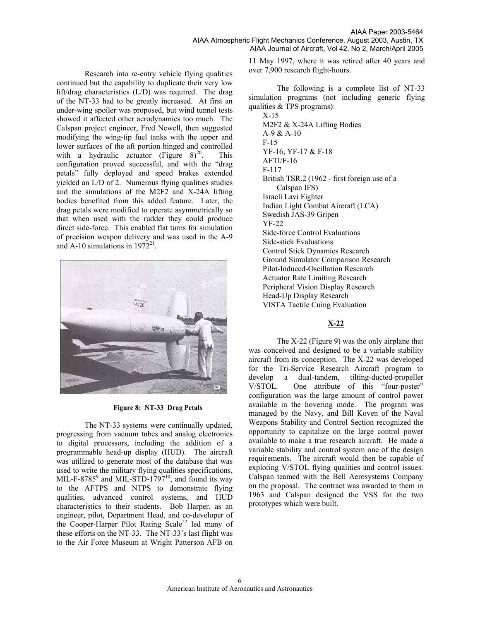Research into re-entry vehicle flying qualities continued but the capability to duplicate their very low lift/drag characteristics (L/D) was required. The drag of the NT-33 had to be greatly increased. At first an under-wing spoiler was proposed, but wind tunnel tests showed it affected other aerodynamics too much. The Calspan project engineer, Fred Newell, then suggested modifying the wing-tip fuel tanks with the upper and lower surfaces of the aft portion hinged and controlled with a hydraulic actuator (Figure  $8)^{20}$ . This configuration proved successful, and with the "drag petals" fully deployed and speed brakes extended yielded an L/D of 2. Numerous flying qualities studies and the simulations of the M2F2 and X-24A lifting bodies benefited from this added feature. Later, the drag petals were modified to operate asymmetrically so that when used with the rudder they could produce direct side-force. This enabled flat turns for simulation of precision weapon delivery and was used in the A-9 and A-10 simulations in  $1972^{21}$ .



**Figure 8: NT-33 Drag Petals** 

The NT-33 systems were continually updated, progressing from vacuum tubes and analog electronics to digital processors, including the addition of a programmable head-up display (HUD). The aircraft was utilized to generate most of the database that was used to write the military flying qualities specifications, MIL-F-8785 $^9$  and MIL-STD-1797 $^{10}$ , and found its way to the AFTPS and NTPS to demonstrate flying qualities, advanced control systems, and HUD characteristics to their students. Bob Harper, as an engineer, pilot, Department Head, and co-developer of the Cooper-Harper Pilot Rating  $Scale^{22}$  led many of these efforts on the NT-33. The NT-33's last flight was to the Air Force Museum at Wright Patterson AFB on

11 May 1997, where it was retired after 40 years and over 7,900 research flight-hours.

The following is a complete list of NT-33 simulation programs (not including generic flying qualities & TPS programs):

X-15 M2F2 & X-24A Lifting Bodies A-9 & A-10 F-15 YF-16, YF-17 & F-18 AFTI/F-16 F-117 British TSR.2 (1962 - first foreign use of a Calspan IFS) Israeli Lavi Fighter Indian Light Combat Aircraft (LCA) Swedish JAS-39 Gripen YF-22 Side-force Control Evaluations Side-stick Evaluations Control Stick Dynamics Research Ground Simulator Comparison Research Pilot-Induced-Oscillation Research Actuator Rate Limiting Research Peripheral Vision Display Research Head-Up Display Research VISTA Tactile Cuing Evaluation

# **X-22**

The X-22 (Figure 9) was the only airplane that was conceived and designed to be a variable stability aircraft from its conception. The X-22 was developed for the Tri-Service Research Aircraft program to develop a dual-tandem, tilting-ducted-propeller V/STOL. One attribute of this "four-poster" configuration was the large amount of control power available in the hovering mode. The program was managed by the Navy, and Bill Koven of the Naval Weapons Stability and Control Section recognized the opportunity to capitalize on the large control power available to make a true research aircraft. He made a variable stability and control system one of the design requirements. The aircraft would then be capable of exploring V/STOL flying qualities and control issues. Calspan teamed with the Bell Aerosystems Company on the proposal. The contract was awarded to them in 1963 and Calspan designed the VSS for the two prototypes which were built.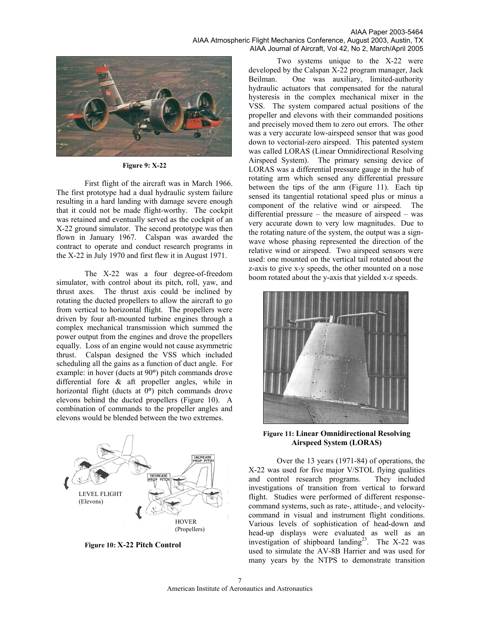

**Figure 9: X-22** 

First flight of the aircraft was in March 1966. The first prototype had a dual hydraulic system failure resulting in a hard landing with damage severe enough that it could not be made flight-worthy. The cockpit was retained and eventually served as the cockpit of an X-22 ground simulator. The second prototype was then flown in January 1967. Calspan was awarded the contract to operate and conduct research programs in the X-22 in July 1970 and first flew it in August 1971.

The X-22 was a four degree-of-freedom simulator, with control about its pitch, roll, yaw, and thrust axes. The thrust axis could be inclined by rotating the ducted propellers to allow the aircraft to go from vertical to horizontal flight. The propellers were driven by four aft-mounted turbine engines through a complex mechanical transmission which summed the power output from the engines and drove the propellers equally. Loss of an engine would not cause asymmetric thrust. Calspan designed the VSS which included scheduling all the gains as a function of duct angle. For example: in hover (ducts at 90**°**) pitch commands drove differential fore & aft propeller angles, while in horizontal flight (ducts at 0**°**) pitch commands drove elevons behind the ducted propellers (Figure 10). A combination of commands to the propeller angles and elevons would be blended between the two extremes.



**Figure 10: X-22 Pitch Control** 

Two systems unique to the X-22 were developed by the Calspan X-22 program manager, Jack Beilman. One was auxiliary, limited-authority hydraulic actuators that compensated for the natural hysteresis in the complex mechanical mixer in the VSS. The system compared actual positions of the propeller and elevons with their commanded positions and precisely moved them to zero out errors. The other was a very accurate low-airspeed sensor that was good down to vectorial-zero airspeed. This patented system was called LORAS (Linear Omnidirectional Resolving Airspeed System). The primary sensing device of LORAS was a differential pressure gauge in the hub of rotating arm which sensed any differential pressure between the tips of the arm (Figure 11). Each tip sensed its tangential rotational speed plus or minus a component of the relative wind or airspeed. The differential pressure – the measure of airspeed – was very accurate down to very low magnitudes. Due to the rotating nature of the system, the output was a signwave whose phasing represented the direction of the relative wind or airspeed. Two airspeed sensors were used: one mounted on the vertical tail rotated about the z-axis to give x-y speeds, the other mounted on a nose boom rotated about the y-axis that yielded x-z speeds.



**Figure 11: Linear Omnidirectional Resolving Airspeed System (LORAS)** 

Over the 13 years (1971-84) of operations, the X-22 was used for five major V/STOL flying qualities and control research programs. They included investigations of transition from vertical to forward flight. Studies were performed of different responsecommand systems, such as rate-, attitude-, and velocitycommand in visual and instrument flight conditions. Various levels of sophistication of head-down and head-up displays were evaluated as well as an investigation of shipboard landing<sup>23</sup>. The X-22 was used to simulate the AV-8B Harrier and was used for many years by the NTPS to demonstrate transition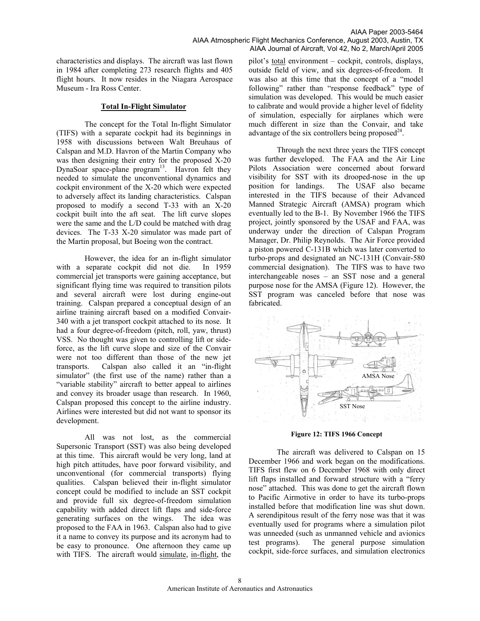characteristics and displays. The aircraft was last flown in 1984 after completing 273 research flights and 405 flight hours. It now resides in the Niagara Aerospace Museum - Ira Ross Center.

#### **Total In-Flight Simulator**

The concept for the Total In-flight Simulator (TIFS) with a separate cockpit had its beginnings in 1958 with discussions between Walt Breuhaus of Calspan and M.D. Havron of the Martin Company who was then designing their entry for the proposed X-20 DynaSoar space-plane  $program<sup>13</sup>$ . Havron felt they needed to simulate the unconventional dynamics and cockpit environment of the X-20 which were expected to adversely affect its landing characteristics. Calspan proposed to modify a second T-33 with an X-20 cockpit built into the aft seat. The lift curve slopes were the same and the L/D could be matched with drag devices. The T-33 X-20 simulator was made part of the Martin proposal, but Boeing won the contract.

However, the idea for an in-flight simulator with a separate cockpit did not die. In 1959 commercial jet transports were gaining acceptance, but significant flying time was required to transition pilots and several aircraft were lost during engine-out training. Calspan prepared a conceptual design of an airline training aircraft based on a modified Convair-340 with a jet transport cockpit attached to its nose. It had a four degree-of-freedom (pitch, roll, yaw, thrust) VSS. No thought was given to controlling lift or sideforce, as the lift curve slope and size of the Convair were not too different than those of the new jet transports. Calspan also called it an "in-flight simulator" (the first use of the name) rather than a "variable stability" aircraft to better appeal to airlines and convey its broader usage than research. In 1960, Calspan proposed this concept to the airline industry. Airlines were interested but did not want to sponsor its development.

All was not lost, as the commercial Supersonic Transport (SST) was also being developed at this time. This aircraft would be very long, land at high pitch attitudes, have poor forward visibility, and unconventional (for commercial transports) flying qualities. Calspan believed their in-flight simulator concept could be modified to include an SST cockpit and provide full six degree-of-freedom simulation capability with added direct lift flaps and side-force generating surfaces on the wings. The idea was proposed to the FAA in 1963. Calspan also had to give it a name to convey its purpose and its acronym had to be easy to pronounce. One afternoon they came up with TIFS. The aircraft would simulate, in-flight, the

pilot's total environment – cockpit, controls, displays, outside field of view, and six degrees-of-freedom. It was also at this time that the concept of a "model following" rather than "response feedback" type of simulation was developed. This would be much easier to calibrate and would provide a higher level of fidelity of simulation, especially for airplanes which were much different in size than the Convair, and take advantage of the six controllers being proposed $^{24}$ .

Through the next three years the TIFS concept was further developed. The FAA and the Air Line Pilots Association were concerned about forward visibility for SST with its drooped-nose in the up position for landings. The USAF also became interested in the TIFS because of their Advanced Manned Strategic Aircraft (AMSA) program which eventually led to the B-1. By November 1966 the TIFS project, jointly sponsored by the USAF and FAA, was underway under the direction of Calspan Program Manager, Dr. Philip Reynolds. The Air Force provided a piston powered C-131B which was later converted to turbo-props and designated an NC-131H (Convair-580 commercial designation). The TIFS was to have two interchangeable noses – an SST nose and a general purpose nose for the AMSA (Figure 12). However, the SST program was canceled before that nose was fabricated.



**Figure 12: TIFS 1966 Concept**

The aircraft was delivered to Calspan on 15 December 1966 and work began on the modifications. TIFS first flew on 6 December 1968 with only direct lift flaps installed and forward structure with a "ferry nose" attached. This was done to get the aircraft flown to Pacific Airmotive in order to have its turbo-props installed before that modification line was shut down. A serendipitous result of the ferry nose was that it was eventually used for programs where a simulation pilot was unneeded (such as unmanned vehicle and avionics test programs). The general purpose simulation cockpit, side-force surfaces, and simulation electronics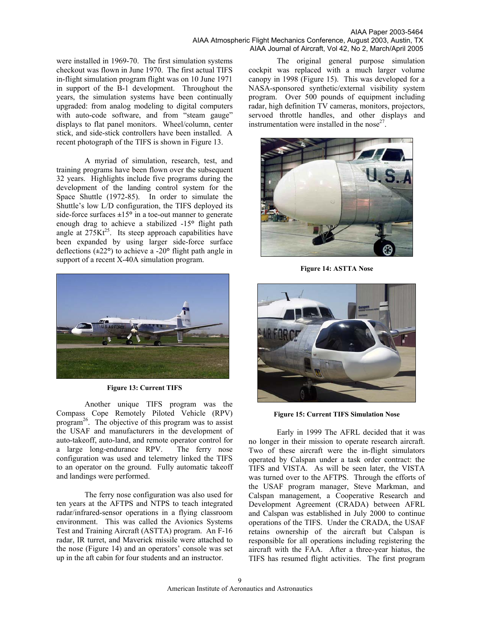#### AIAA Paper 2003-5464 AIAA Atmospheric Flight Mechanics Conference, August 2003, Austin, TX AIAA Journal of Aircraft, Vol 42, No 2, March/April 2005

were installed in 1969-70. The first simulation systems checkout was flown in June 1970. The first actual TIFS in-flight simulation program flight was on 10 June 1971 in support of the B-1 development. Throughout the years, the simulation systems have been continually upgraded: from analog modeling to digital computers with auto-code software, and from "steam gauge" displays to flat panel monitors. Wheel/column, center stick, and side-stick controllers have been installed. A recent photograph of the TIFS is shown in Figure 13.

A myriad of simulation, research, test, and training programs have been flown over the subsequent 32 years. Highlights include five programs during the development of the landing control system for the Space Shuttle (1972-85). In order to simulate the Shuttle's low L/D configuration, the TIFS deployed its side-force surfaces **±**15**°** in a toe-out manner to generate enough drag to achieve a stabilized -15**°** flight path angle at  $275Kt^{25}$ . Its steep approach capabilities have been expanded by using larger side-force surface deflections (**±**22**°**) to achieve a -20**°** flight path angle in support of a recent X-40A simulation program.



**Figure 13: Current TIFS** 

Another unique TIFS program was the Compass Cope Remotely Piloted Vehicle (RPV) program<sup>26</sup>. The objective of this program was to assist the USAF and manufacturers in the development of auto-takeoff, auto-land, and remote operator control for a large long-endurance RPV. The ferry nose configuration was used and telemetry linked the TIFS to an operator on the ground. Fully automatic takeoff and landings were performed.

The ferry nose configuration was also used for ten years at the AFTPS and NTPS to teach integrated radar/infrared-sensor operations in a flying classroom environment. This was called the Avionics Systems Test and Training Aircraft (ASTTA) program. An F-16 radar, IR turret, and Maverick missile were attached to the nose (Figure 14) and an operators' console was set up in the aft cabin for four students and an instructor.

The original general purpose simulation cockpit was replaced with a much larger volume canopy in 1998 (Figure 15). This was developed for a NASA-sponsored synthetic/external visibility system program. Over 500 pounds of equipment including radar, high definition TV cameras, monitors, projectors, servoed throttle handles, and other displays and instrumentation were installed in the nose<sup>27</sup>.



**Figure 14: ASTTA Nose** 



**Figure 15: Current TIFS Simulation Nose** 

Early in 1999 The AFRL decided that it was no longer in their mission to operate research aircraft. Two of these aircraft were the in-flight simulators operated by Calspan under a task order contract: the TIFS and VISTA. As will be seen later, the VISTA was turned over to the AFTPS. Through the efforts of the USAF program manager, Steve Markman, and Calspan management, a Cooperative Research and Development Agreement (CRADA) between AFRL and Calspan was established in July 2000 to continue operations of the TIFS. Under the CRADA, the USAF retains ownership of the aircraft but Calspan is responsible for all operations including registering the aircraft with the FAA. After a three-year hiatus, the TIFS has resumed flight activities. The first program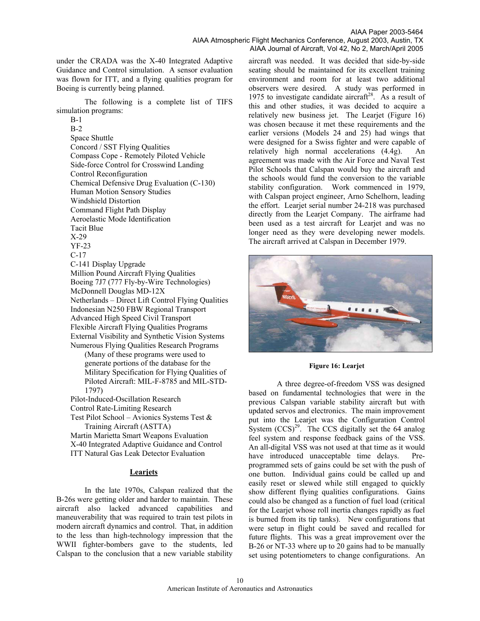under the CRADA was the X-40 Integrated Adaptive Guidance and Control simulation. A sensor evaluation was flown for ITT, and a flying qualities program for Boeing is currently being planned.

The following is a complete list of TIFS simulation programs:

B-1 B-2 Space Shuttle Concord / SST Flying Qualities Compass Cope - Remotely Piloted Vehicle Side-force Control for Crosswind Landing Control Reconfiguration Chemical Defensive Drug Evaluation (C-130) Human Motion Sensory Studies Windshield Distortion Command Flight Path Display Aeroelastic Mode Identification Tacit Blue X-29 YF-23 C-17 C-141 Display Upgrade Million Pound Aircraft Flying Qualities Boeing 7J7 (777 Fly-by-Wire Technologies) McDonnell Douglas MD-12X Netherlands – Direct Lift Control Flying Qualities Indonesian N250 FBW Regional Transport Advanced High Speed Civil Transport Flexible Aircraft Flying Qualities Programs External Visibility and Synthetic Vision Systems Numerous Flying Qualities Research Programs (Many of these programs were used to generate portions of the database for the Military Specification for Flying Qualities of Piloted Aircraft: MIL-F-8785 and MIL-STD-1797) Pilot-Induced-Oscillation Research Control Rate-Limiting Research Test Pilot School – Avionics Systems Test & Training Aircraft (ASTTA) Martin Marietta Smart Weapons Evaluation X-40 Integrated Adaptive Guidance and Control

ITT Natural Gas Leak Detector Evaluation

## **Learjets**

In the late 1970s, Calspan realized that the B-26s were getting older and harder to maintain. These aircraft also lacked advanced capabilities and maneuverability that was required to train test pilots in modern aircraft dynamics and control. That, in addition to the less than high-technology impression that the WWII fighter-bombers gave to the students, led Calspan to the conclusion that a new variable stability

aircraft was needed. It was decided that side-by-side seating should be maintained for its excellent training environment and room for at least two additional observers were desired. A study was performed in 1975 to investigate candidate aircraft<sup>28</sup>. As a result of this and other studies, it was decided to acquire a relatively new business jet. The Learjet (Figure 16) was chosen because it met these requirements and the earlier versions (Models 24 and 25) had wings that were designed for a Swiss fighter and were capable of relatively high normal accelerations (4.4g). An agreement was made with the Air Force and Naval Test Pilot Schools that Calspan would buy the aircraft and the schools would fund the conversion to the variable stability configuration. Work commenced in 1979, with Calspan project engineer, Arno Schelhorn, leading the effort. Learjet serial number 24-218 was purchased directly from the Learjet Company. The airframe had been used as a test aircraft for Learjet and was no longer need as they were developing newer models. The aircraft arrived at Calspan in December 1979.



#### **Figure 16: Learjet**

A three degree-of-freedom VSS was designed based on fundamental technologies that were in the previous Calspan variable stability aircraft but with updated servos and electronics. The main improvement put into the Learjet was the Configuration Control System  $(CCS)^{29}$ . The CCS digitally set the 64 analog feel system and response feedback gains of the VSS. An all-digital VSS was not used at that time as it would have introduced unacceptable time delays. Preprogrammed sets of gains could be set with the push of one button. Individual gains could be called up and easily reset or slewed while still engaged to quickly show different flying qualities configurations. Gains could also be changed as a function of fuel load (critical for the Learjet whose roll inertia changes rapidly as fuel is burned from its tip tanks). New configurations that were setup in flight could be saved and recalled for future flights. This was a great improvement over the B-26 or NT-33 where up to 20 gains had to be manually set using potentiometers to change configurations. An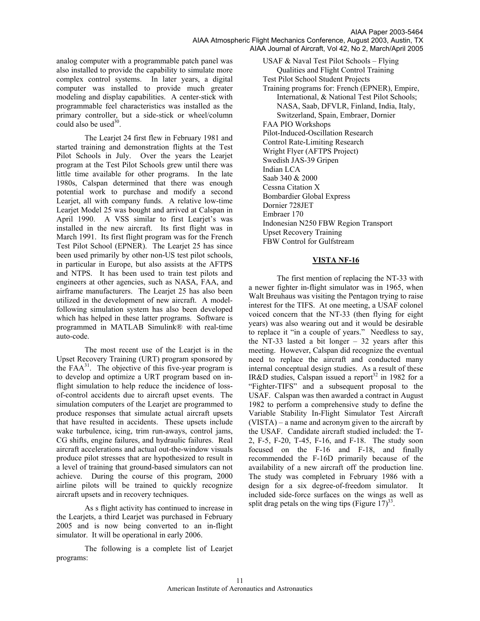analog computer with a programmable patch panel was also installed to provide the capability to simulate more complex control systems. In later years, a digital computer was installed to provide much greater modeling and display capabilities. A center-stick with programmable feel characteristics was installed as the primary controller, but a side-stick or wheel/column could also be used $30$ .

The Learjet 24 first flew in February 1981 and started training and demonstration flights at the Test Pilot Schools in July. Over the years the Learjet program at the Test Pilot Schools grew until there was little time available for other programs. In the late 1980s, Calspan determined that there was enough potential work to purchase and modify a second Learjet, all with company funds. A relative low-time Learjet Model 25 was bought and arrived at Calspan in April 1990. A VSS similar to first Learjet's was installed in the new aircraft. Its first flight was in March 1991. Its first flight program was for the French Test Pilot School (EPNER). The Learjet 25 has since been used primarily by other non-US test pilot schools, in particular in Europe, but also assists at the AFTPS and NTPS. It has been used to train test pilots and engineers at other agencies, such as NASA, FAA, and airframe manufacturers. The Learjet 25 has also been utilized in the development of new aircraft. A modelfollowing simulation system has also been developed which has helped in these latter programs. Software is programmed in MATLAB Simulink® with real-time auto-code.

The most recent use of the Learjet is in the Upset Recovery Training (URT) program sponsored by the  $FAA^{31}$ . The objective of this five-year program is to develop and optimize a URT program based on inflight simulation to help reduce the incidence of lossof-control accidents due to aircraft upset events. The simulation computers of the Learjet are programmed to produce responses that simulate actual aircraft upsets that have resulted in accidents. These upsets include wake turbulence, icing, trim run-aways, control jams, CG shifts, engine failures, and hydraulic failures. Real aircraft accelerations and actual out-the-window visuals produce pilot stresses that are hypothesized to result in a level of training that ground-based simulators can not achieve. During the course of this program, 2000 airline pilots will be trained to quickly recognize aircraft upsets and in recovery techniques.

As s flight activity has continued to increase in the Learjets, a third Learjet was purchased in February 2005 and is now being converted to an in-flight simulator. It will be operational in early 2006.

The following is a complete list of Learjet programs:

USAF & Naval Test Pilot Schools – Flying Qualities and Flight Control Training Test Pilot School Student Projects Training programs for: French (EPNER), Empire, International, & National Test Pilot Schools; NASA, Saab, DFVLR, Finland, India, Italy, Switzerland, Spain, Embraer, Dornier FAA PIO Workshops Pilot-Induced-Oscillation Research Control Rate-Limiting Research Wright Flyer (AFTPS Project) Swedish JAS-39 Gripen Indian LCA Saab 340 & 2000 Cessna Citation X Bombardier Global Express Dornier 728JET Embraer 170 Indonesian N250 FBW Region Transport Upset Recovery Training FBW Control for Gulfstream

### **VISTA NF-16**

The first mention of replacing the NT-33 with a newer fighter in-flight simulator was in 1965, when Walt Breuhaus was visiting the Pentagon trying to raise interest for the TIFS. At one meeting, a USAF colonel voiced concern that the NT-33 (then flying for eight years) was also wearing out and it would be desirable to replace it "in a couple of years." Needless to say, the NT-33 lasted a bit longer  $-32$  years after this meeting. However, Calspan did recognize the eventual need to replace the aircraft and conducted many internal conceptual design studies. As a result of these IR&D studies, Calspan issued a report<sup>32</sup> in 1982 for a "Fighter-TIFS" and a subsequent proposal to the USAF. Calspan was then awarded a contract in August 1982 to perform a comprehensive study to define the Variable Stability In-Flight Simulator Test Aircraft (VISTA) – a name and acronym given to the aircraft by the USAF. Candidate aircraft studied included: the T-2, F-5, F-20, T-45, F-16, and F-18. The study soon focused on the F-16 and F-18, and finally recommended the F-16D primarily because of the availability of a new aircraft off the production line. The study was completed in February 1986 with a design for a six degree-of-freedom simulator. It included side-force surfaces on the wings as well as split drag petals on the wing tips (Figure  $17)^{33}$ .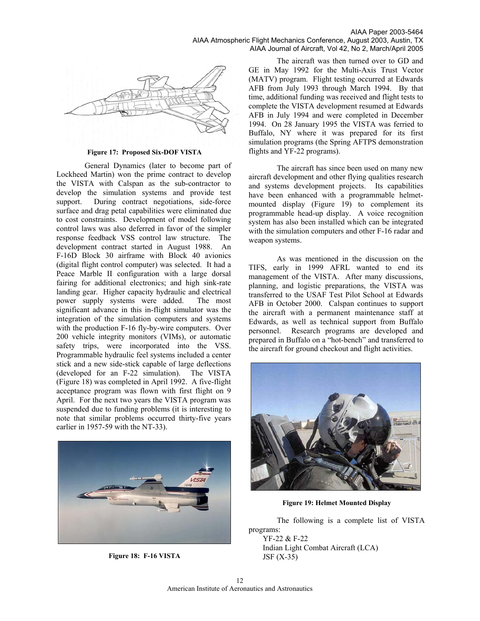

#### **Figure 17: Proposed Six-DOF VISTA**

General Dynamics (later to become part of Lockheed Martin) won the prime contract to develop the VISTA with Calspan as the sub-contractor to develop the simulation systems and provide test support. During contract negotiations, side-force surface and drag petal capabilities were eliminated due to cost constraints. Development of model following control laws was also deferred in favor of the simpler response feedback VSS control law structure. The development contract started in August 1988. An F-16D Block 30 airframe with Block 40 avionics (digital flight control computer) was selected. It had a Peace Marble II configuration with a large dorsal fairing for additional electronics; and high sink-rate landing gear. Higher capacity hydraulic and electrical power supply systems were added. The most significant advance in this in-flight simulator was the integration of the simulation computers and systems with the production F-16 fly-by-wire computers. Over 200 vehicle integrity monitors (VIMs), or automatic safety trips, were incorporated into the VSS. Programmable hydraulic feel systems included a center stick and a new side-stick capable of large deflections (developed for an F-22 simulation). The VISTA (Figure 18) was completed in April 1992. A five-flight acceptance program was flown with first flight on 9 April. For the next two years the VISTA program was suspended due to funding problems (it is interesting to note that similar problems occurred thirty-five years earlier in 1957-59 with the NT-33).



**Figure 18: F-16 VISTA** 

The aircraft was then turned over to GD and GE in May 1992 for the Multi-Axis Trust Vector (MATV) program. Flight testing occurred at Edwards AFB from July 1993 through March 1994. By that time, additional funding was received and flight tests to complete the VISTA development resumed at Edwards AFB in July 1994 and were completed in December 1994. On 28 January 1995 the VISTA was ferried to Buffalo, NY where it was prepared for its first simulation programs (the Spring AFTPS demonstration flights and YF-22 programs).

The aircraft has since been used on many new aircraft development and other flying qualities research and systems development projects. Its capabilities have been enhanced with a programmable helmetmounted display (Figure 19) to complement its programmable head-up display. A voice recognition system has also been installed which can be integrated with the simulation computers and other F-16 radar and weapon systems.

As was mentioned in the discussion on the TIFS, early in 1999 AFRL wanted to end its management of the VISTA. After many discussions, planning, and logistic preparations, the VISTA was transferred to the USAF Test Pilot School at Edwards AFB in October 2000. Calspan continues to support the aircraft with a permanent maintenance staff at Edwards, as well as technical support from Buffalo personnel. Research programs are developed and prepared in Buffalo on a "hot-bench" and transferred to the aircraft for ground checkout and flight activities.



**Figure 19: Helmet Mounted Display** 

The following is a complete list of VISTA programs: YF-22 & F-22 Indian Light Combat Aircraft (LCA) JSF (X-35)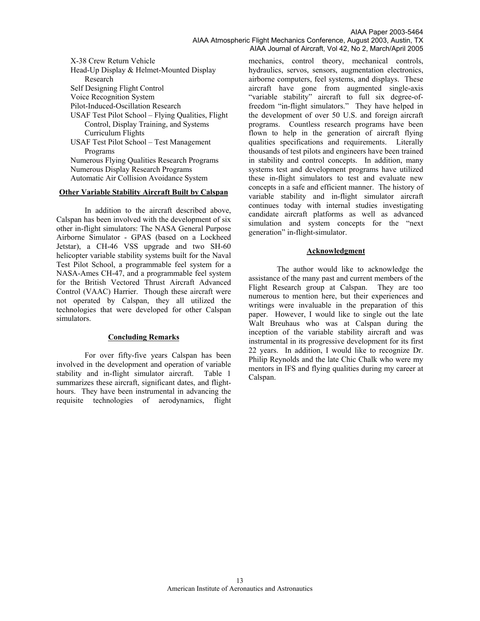#### AIAA Paper 2003-5464 AIAA Atmospheric Flight Mechanics Conference, August 2003, Austin, TX AIAA Journal of Aircraft, Vol 42, No 2, March/April 2005

X-38 Crew Return Vehicle Head-Up Display & Helmet-Mounted Display Research Self Designing Flight Control Voice Recognition System Pilot-Induced-Oscillation Research USAF Test Pilot School – Flying Qualities, Flight Control, Display Training, and Systems Curriculum Flights USAF Test Pilot School – Test Management Programs Numerous Flying Qualities Research Programs Numerous Display Research Programs Automatic Air Collision Avoidance System

## **Other Variable Stability Aircraft Built by Calspan**

In addition to the aircraft described above, Calspan has been involved with the development of six other in-flight simulators: The NASA General Purpose Airborne Simulator - GPAS (based on a Lockheed Jetstar), a CH-46 VSS upgrade and two SH-60 helicopter variable stability systems built for the Naval Test Pilot School, a programmable feel system for a NASA-Ames CH-47, and a programmable feel system for the British Vectored Thrust Aircraft Advanced Control (VAAC) Harrier. Though these aircraft were not operated by Calspan, they all utilized the technologies that were developed for other Calspan simulators.

#### **Concluding Remarks**

For over fifty-five years Calspan has been involved in the development and operation of variable stability and in-flight simulator aircraft. Table 1 summarizes these aircraft, significant dates, and flighthours. They have been instrumental in advancing the requisite technologies of aerodynamics, flight

mechanics, control theory, mechanical controls, hydraulics, servos, sensors, augmentation electronics, airborne computers, feel systems, and displays. These aircraft have gone from augmented single-axis "variable stability" aircraft to full six degree-offreedom "in-flight simulators." They have helped in the development of over 50 U.S. and foreign aircraft programs. Countless research programs have been flown to help in the generation of aircraft flying qualities specifications and requirements. Literally thousands of test pilots and engineers have been trained in stability and control concepts. In addition, many systems test and development programs have utilized these in-flight simulators to test and evaluate new concepts in a safe and efficient manner. The history of variable stability and in-flight simulator aircraft continues today with internal studies investigating candidate aircraft platforms as well as advanced simulation and system concepts for the "next generation" in-flight-simulator.

### **Acknowledgment**

The author would like to acknowledge the assistance of the many past and current members of the Flight Research group at Calspan. They are too numerous to mention here, but their experiences and writings were invaluable in the preparation of this paper. However, I would like to single out the late Walt Breuhaus who was at Calspan during the inception of the variable stability aircraft and was instrumental in its progressive development for its first 22 years. In addition, I would like to recognize Dr. Philip Reynolds and the late Chic Chalk who were my mentors in IFS and flying qualities during my career at Calspan.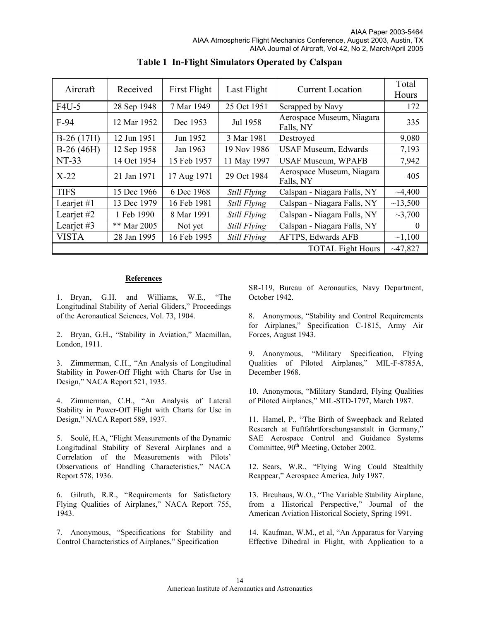| Aircraft     | Received    | First Flight | Last Flight         | Current Location                       | Total<br>Hours |
|--------------|-------------|--------------|---------------------|----------------------------------------|----------------|
| $F4U-5$      | 28 Sep 1948 | 7 Mar 1949   | 25 Oct 1951         | Scrapped by Navy                       | 172            |
| $F-94$       | 12 Mar 1952 | Dec 1953     | Jul 1958            | Aerospace Museum, Niagara<br>Falls, NY | 335            |
| $B-26(17H)$  | 12 Jun 1951 | Jun 1952     | 3 Mar 1981          | Destroyed                              | 9,080          |
| $B-26(46H)$  | 12 Sep 1958 | Jan 1963     | 19 Nov 1986         | <b>USAF Museum, Edwards</b>            | 7,193          |
| $NT-33$      | 14 Oct 1954 | 15 Feb 1957  | 11 May 1997         | <b>USAF Museum, WPAFB</b>              | 7,942          |
| $X-22$       | 21 Jan 1971 | 17 Aug 1971  | 29 Oct 1984         | Aerospace Museum, Niagara<br>Falls, NY | 405            |
| <b>TIFS</b>  | 15 Dec 1966 | 6 Dec 1968   | Still Flying        | Calspan - Niagara Falls, NY            | ~1,400         |
| Learjet $#1$ | 13 Dec 1979 | 16 Feb 1981  | <b>Still Flying</b> | Calspan - Niagara Falls, NY            | ~13,500        |
| Learjet #2   | 1 Feb 1990  | 8 Mar 1991   | <b>Still Flying</b> | Calspan - Niagara Falls, NY            | $\sim$ 3,700   |
| Learjet $#3$ | ** Mar 2005 | Not yet      | Still Flying        | Calspan - Niagara Falls, NY            | $\Omega$       |
| <b>VISTA</b> | 28 Jan 1995 | 16 Feb 1995  | Still Flying        | AFTPS, Edwards AFB                     | ~1,100         |
|              |             |              |                     | <b>TOTAL Fight Hours</b>               | ~1,827         |

**Table 1 In-Flight Simulators Operated by Calspan** 

# **References**

1. Bryan, G.H. and Williams, W.E., "The Longitudinal Stability of Aerial Gliders," Proceedings of the Aeronautical Sciences, Vol. 73, 1904.

2. Bryan, G.H., "Stability in Aviation," Macmillan, London, 1911.

3. Zimmerman, C.H., "An Analysis of Longitudinal Stability in Power-Off Flight with Charts for Use in Design," NACA Report 521, 1935.

4. Zimmerman, C.H., "An Analysis of Lateral Stability in Power-Off Flight with Charts for Use in Design," NACA Report 589, 1937.

5. Soulé, H.A, "Flight Measurements of the Dynamic Longitudinal Stability of Several Airplanes and a Correlation of the Measurements with Pilots' Observations of Handling Characteristics," NACA Report 578, 1936.

6. Gilruth, R.R., "Requirements for Satisfactory Flying Qualities of Airplanes," NACA Report 755, 1943.

7. Anonymous, "Specifications for Stability and Control Characteristics of Airplanes," Specification

SR-119, Bureau of Aeronautics, Navy Department, October 1942.

8. Anonymous, "Stability and Control Requirements for Airplanes," Specification C-1815, Army Air Forces, August 1943.

9. Anonymous, "Military Specification, Flying Qualities of Piloted Airplanes," MIL-F-8785A, December 1968.

10. Anonymous, "Military Standard, Flying Qualities of Piloted Airplanes," MIL-STD-1797, March 1987.

11. Hamel, P., "The Birth of Sweepback and Related Research at Fuftfahrtforschungsanstalt in Germany," SAE Aerospace Control and Guidance Systems Committee, 90<sup>th</sup> Meeting, October 2002.

12. Sears, W.R., "Flying Wing Could Stealthily Reappear," Aerospace America, July 1987.

13. Breuhaus, W.O., "The Variable Stability Airplane, from a Historical Perspective," Journal of the American Aviation Historical Society, Spring 1991.

14. Kaufman, W.M., et al, "An Apparatus for Varying Effective Dihedral in Flight, with Application to a